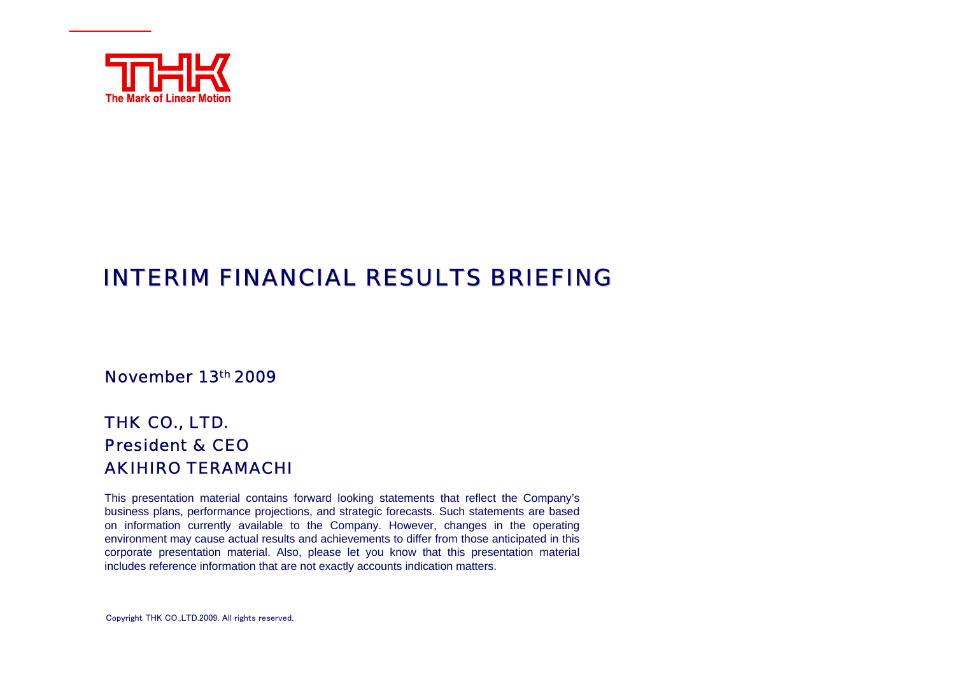

# INTERIM FINANCIAL RESULTS BRIEFING

November 13th 2009

### THK CO., LTD. President & CEOAKIHIRO TERAMACHI

This presentation material contains forward looking statements that reflect the Company's business plans, performance projections, and strategic forecasts. Such statements are based on information currently available to the Company. However, changes in the operating environment may cause actual results and achievements to differ from those anticipated in this corporate presentation material. Also, please let you know that this presentation material includes reference information that are not exactly accounts indication matters.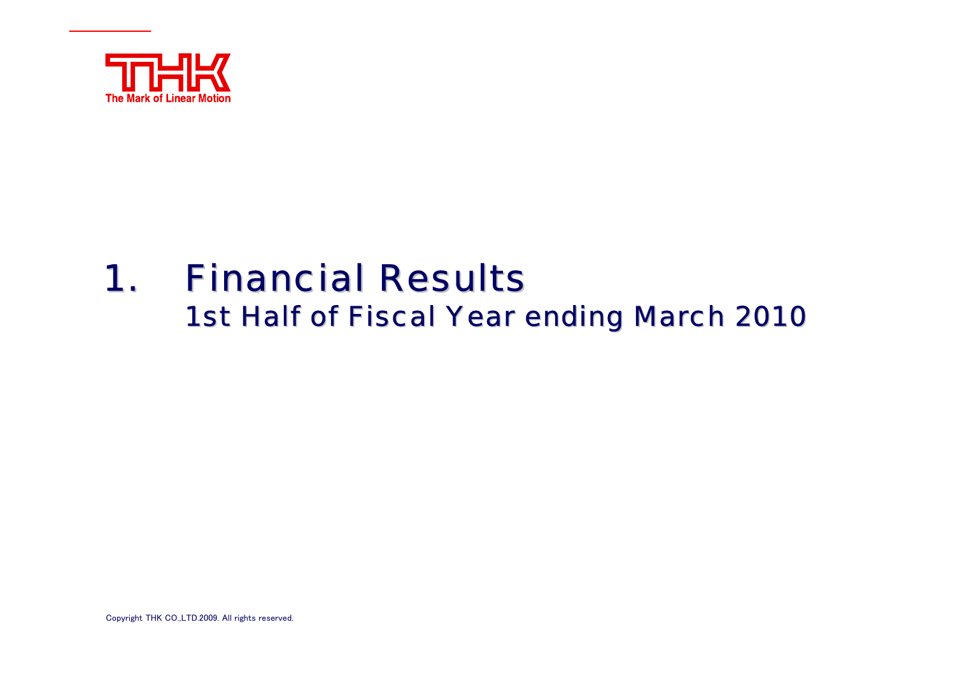

## 1.**. Financial Results** 1st Half of Fiscal Year ending March 2010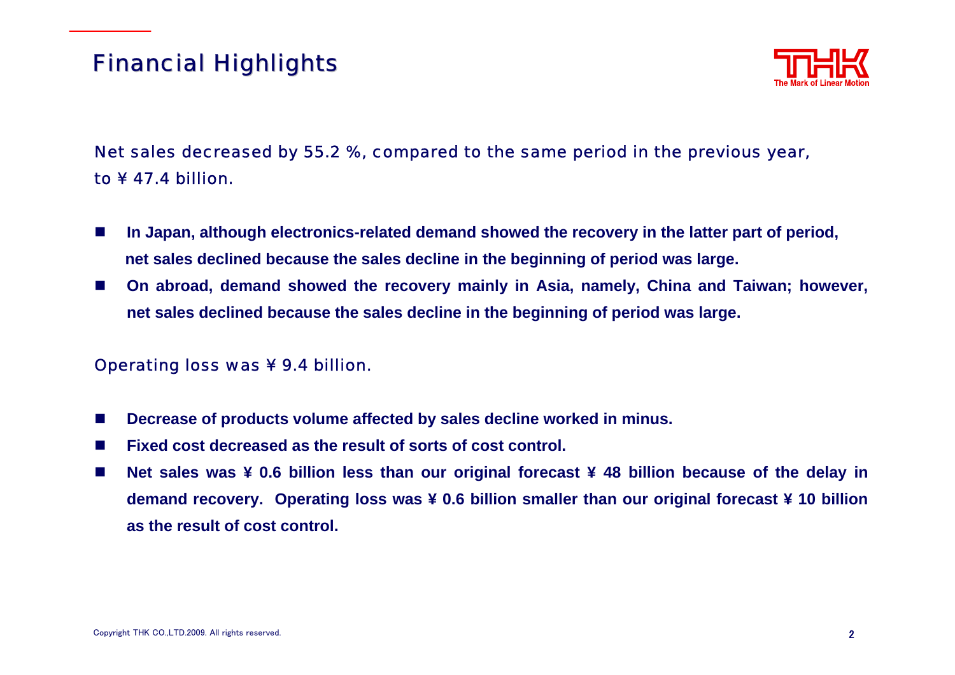# **Financial Highlights**



### Net sales decreased by 55.2 %, compared to the same period in the previous year, to ¥ 47.4 billion.

- **College In Japan, although electronics-related demand showed the recovery in the latter part of period, net sales declined because the sales decline in the beginning of period was large.**
- $\mathcal{L}^{\mathcal{L}}$  **On abroad, demand showed the recovery mainly in Asia, namely, China and Taiwan; however, net sales declined because the sales decline in the beginning of period was large.**

### Operating loss was ¥ 9.4 billion.

- П **Decrease of products volume affected by sales decline worked in minus.**
- m. **Fixed cost decreased as the result of sorts of cost control.**
- $\sim$  **Net sales was ¥ 0.6 billion less than our original forecast ¥ 48 billion because of the delay in demand recovery. Operating loss was ¥ 0.6 billion smaller than our original forecast ¥ 10 billion as the result of cost control.**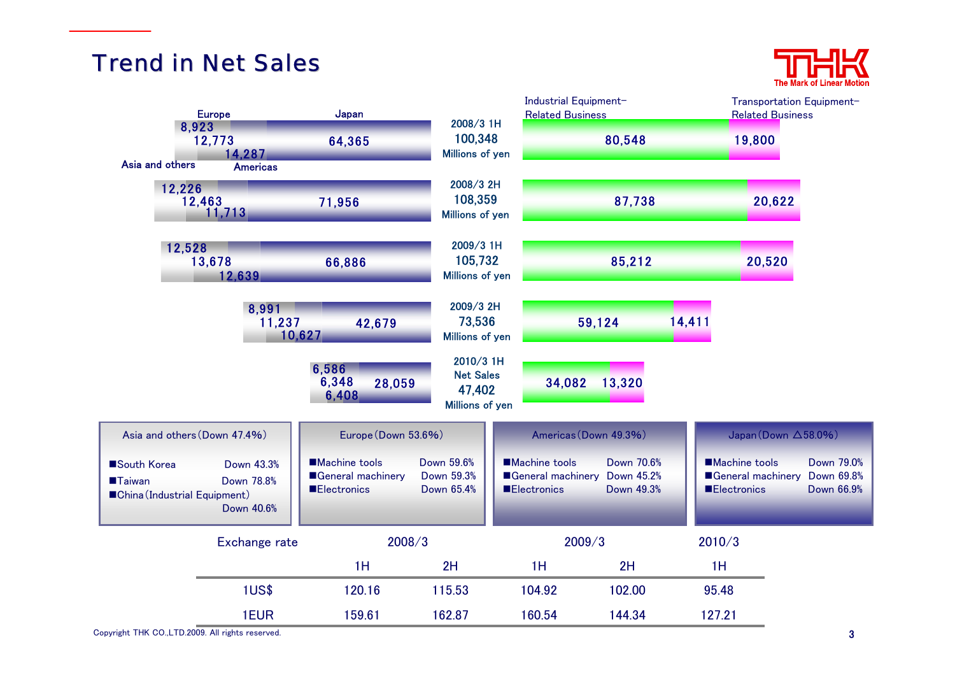# **Trend in Net Sales**



| 8,923                                                        | <b>Europe</b>                          | Japan                                                           | 2008/3 1H                                                  | Industrial Equipment-<br><b>Related Business</b>                           |                          |                                            | Transportation Equipment-<br><b>Related Business</b>     |
|--------------------------------------------------------------|----------------------------------------|-----------------------------------------------------------------|------------------------------------------------------------|----------------------------------------------------------------------------|--------------------------|--------------------------------------------|----------------------------------------------------------|
|                                                              | 12,773<br>14.287                       | 64,365                                                          | 100,348<br>Millions of yen                                 |                                                                            | 80,548                   | 19,800                                     |                                                          |
| Asia and others<br>12,226                                    | <b>Americas</b><br>12,463<br>11,713    | 71,956                                                          | 2008/3 2H<br>108,359<br>Millions of yen                    |                                                                            | 87,738                   |                                            | 20,622                                                   |
| 12,528                                                       | 13,678<br>12,639                       | 66,886                                                          | 2009/3 1H<br>105,732<br><b>Millions of yen</b>             |                                                                            | 85,212                   |                                            | 20,520                                                   |
|                                                              | 8,991<br>11,237<br>10,627              | 42,679                                                          | 2009/3 2H<br>73,536<br>Millions of yen                     |                                                                            | 59,124                   | 14,411                                     |                                                          |
|                                                              |                                        | 6,586<br>6,348<br>28,059<br>6,408                               | 2010/3 1H<br><b>Net Sales</b><br>47,402<br>Millions of yen | 34,082                                                                     | 13,320                   |                                            |                                                          |
| Asia and others (Down 47.4%)                                 |                                        | Europe (Down 53.6%)                                             |                                                            | Americas (Down 49.3%)                                                      |                          |                                            | Japan (Down $\triangle$ 58.0%)                           |
| South Korea<br><b>Taiwan</b><br>China (Industrial Equipment) | Down 43.3%<br>Down 78.8%<br>Down 40.6% | <b>Machine tools</b><br>General machinery<br><b>Electronics</b> | Down 59.6%<br>Down 59.3%<br>Down 65.4%                     | <b>Machine tools</b><br>General machinery Down 45.2%<br><b>Electronics</b> | Down 70.6%<br>Down 49.3% | <b>Machine tools</b><br><b>Electronics</b> | Down 79.0%<br>General machinery Down 69.8%<br>Down 66.9% |
|                                                              | Exchange rate                          | 2008/3                                                          |                                                            | 2009/3                                                                     |                          | 2010/3                                     |                                                          |
|                                                              |                                        | 1H                                                              | 2H                                                         | 1H                                                                         | 2H                       | 1H                                         |                                                          |
|                                                              | 1US\$                                  | 120.16                                                          | 115.53                                                     | 104.92                                                                     | 102.00                   | 95.48                                      |                                                          |
|                                                              | 1EUR                                   | 159.61                                                          | 162.87                                                     | 160.54                                                                     | 144.34                   | 127.21                                     |                                                          |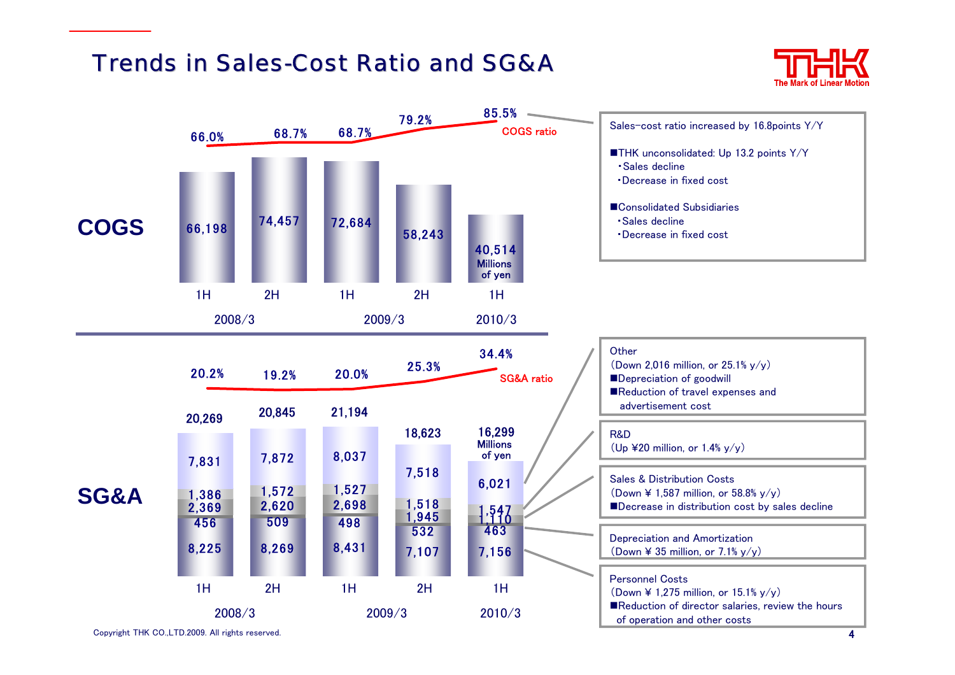# Trends in Sales-Cost Ratio and SG&A



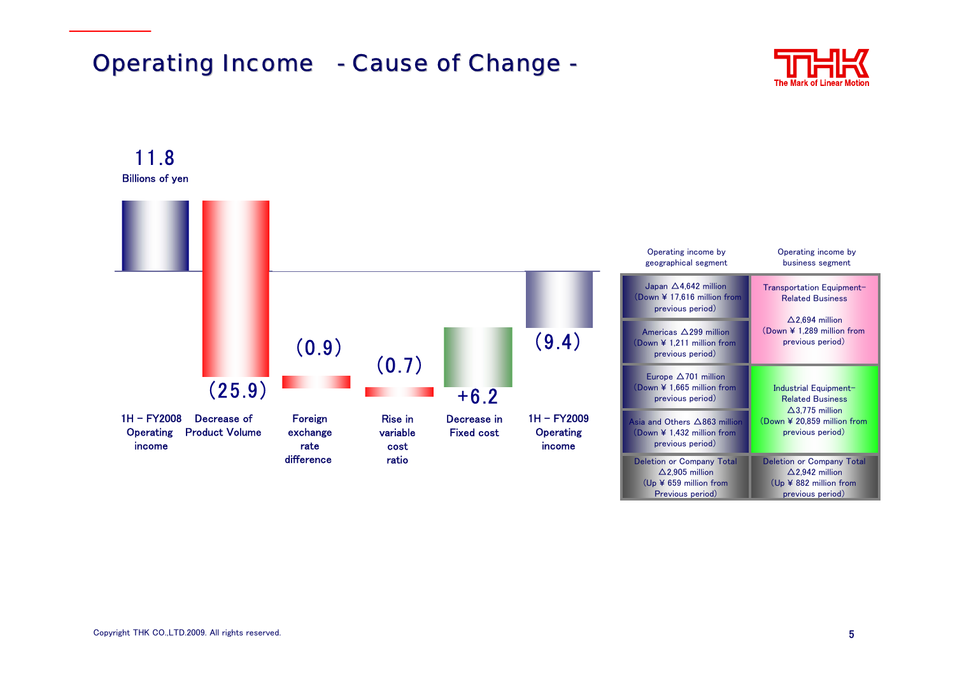# **Operating Income - Cause of Change -**



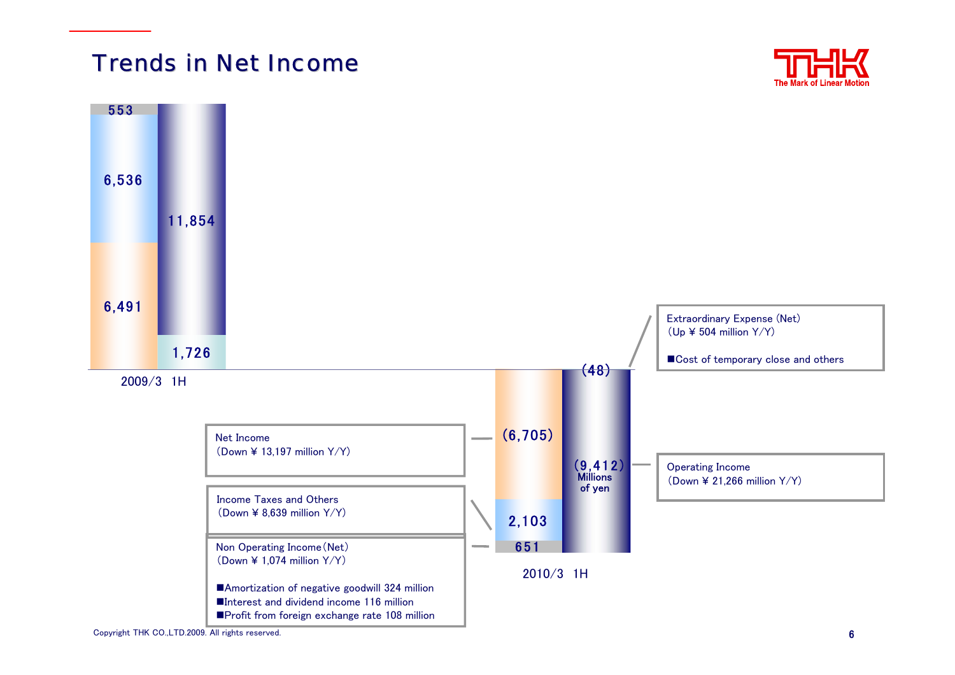# Trends in Net Income





Copyright THK CO.,LTD.2009. All rights reserved. 6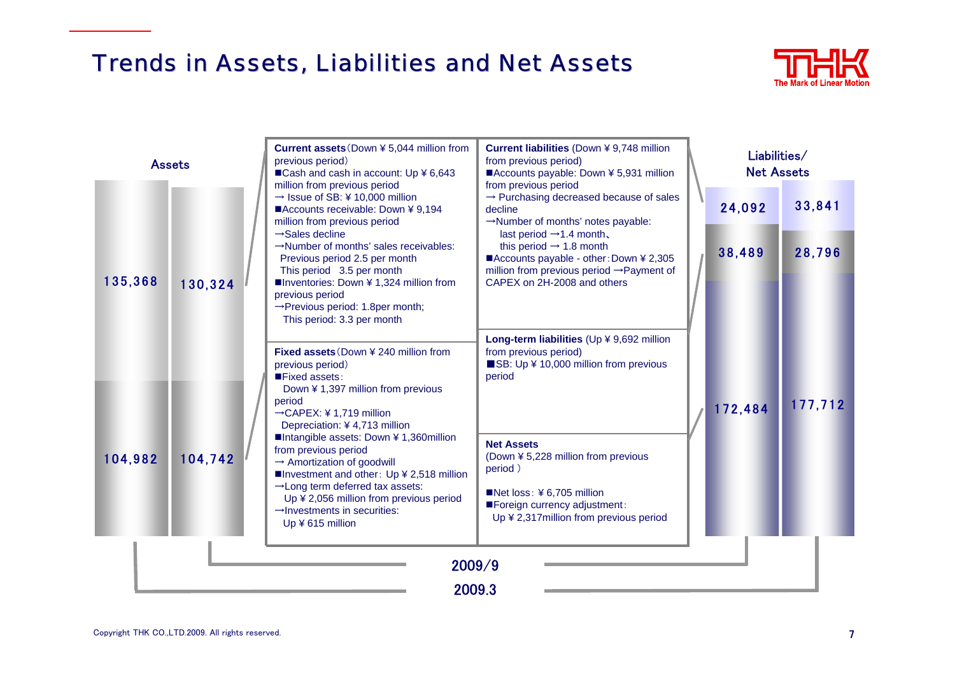# Trends in Assets, Liabilities and Net Assets



| <b>Assets</b>      |         | <b>Current assets</b> (Down ¥ 5,044 million from<br>previous period)<br>■Cash and cash in account: Up ¥ 6,643                                                                                                                                                                                                                                                                                                                                    | Current liabilities (Down ¥ 9,748 million<br>from previous period)<br>■Accounts payable: Down ¥ 5,931 million                                                                                                                                                                                                                                              | Liabilities/<br><b>Net Assets</b> |         |         |
|--------------------|---------|--------------------------------------------------------------------------------------------------------------------------------------------------------------------------------------------------------------------------------------------------------------------------------------------------------------------------------------------------------------------------------------------------------------------------------------------------|------------------------------------------------------------------------------------------------------------------------------------------------------------------------------------------------------------------------------------------------------------------------------------------------------------------------------------------------------------|-----------------------------------|---------|---------|
| 135,368<br>104,982 | 130,324 | million from previous period<br>$\rightarrow$ Issue of SB: ¥ 10,000 million<br>■Accounts receivable: Down ¥ 9,194<br>million from previous period<br>$\rightarrow$ Sales decline<br>$\rightarrow$ Number of months' sales receivables:<br>Previous period 2.5 per month<br>This period 3.5 per month<br>■Inventories: Down ¥ 1,324 million from<br>previous period<br>$\rightarrow$ Previous period: 1.8per month;<br>This period: 3.3 per month | from previous period<br>$\rightarrow$ Purchasing decreased because of sales<br>decline<br>$\rightarrow$ Number of months' notes payable:<br>last period $\rightarrow$ 1.4 month,<br>this period $\rightarrow$ 1.8 month<br>■Accounts payable - other: Down ¥ 2,305<br>million from previous period $\rightarrow$ Payment of<br>CAPEX on 2H-2008 and others |                                   | 24,092  | 33,841  |
|                    |         |                                                                                                                                                                                                                                                                                                                                                                                                                                                  |                                                                                                                                                                                                                                                                                                                                                            |                                   | 38,489  | 28,796  |
|                    |         |                                                                                                                                                                                                                                                                                                                                                                                                                                                  |                                                                                                                                                                                                                                                                                                                                                            |                                   |         |         |
|                    |         | <b>Fixed assets</b> (Down ¥ 240 million from<br>previous period)<br>Fixed assets:                                                                                                                                                                                                                                                                                                                                                                | Long-term liabilities (Up ¥ 9,692 million<br>from previous period)<br>SB: Up ¥ 10,000 million from previous<br>period                                                                                                                                                                                                                                      |                                   |         |         |
|                    | 104,742 | Down ¥ 1,397 million from previous<br>period<br>$\rightarrow$ CAPEX: ¥ 1,719 million<br>Depreciation: ¥4,713 million<br>■Intangible assets: Down ¥ 1,360million<br>from previous period<br>$\rightarrow$ Amortization of goodwill<br>■Investment and other: Up ¥ 2,518 million<br>$\rightarrow$ Long term deferred tax assets:<br>Up ¥ 2,056 million from previous period<br>$\rightarrow$ Investments in securities:<br>Up ¥ 615 million        |                                                                                                                                                                                                                                                                                                                                                            |                                   | 172,484 | 177,712 |
|                    |         |                                                                                                                                                                                                                                                                                                                                                                                                                                                  | <b>Net Assets</b><br>(Down ¥ 5,228 million from previous<br>period)                                                                                                                                                                                                                                                                                        |                                   |         |         |
|                    |         |                                                                                                                                                                                                                                                                                                                                                                                                                                                  | Net loss: $46,705$ million<br>Foreign currency adjustment:<br>Up ¥ 2,317 million from previous period                                                                                                                                                                                                                                                      |                                   |         |         |
|                    |         | 2009/9                                                                                                                                                                                                                                                                                                                                                                                                                                           |                                                                                                                                                                                                                                                                                                                                                            |                                   |         |         |
| 2009.3             |         |                                                                                                                                                                                                                                                                                                                                                                                                                                                  |                                                                                                                                                                                                                                                                                                                                                            |                                   |         |         |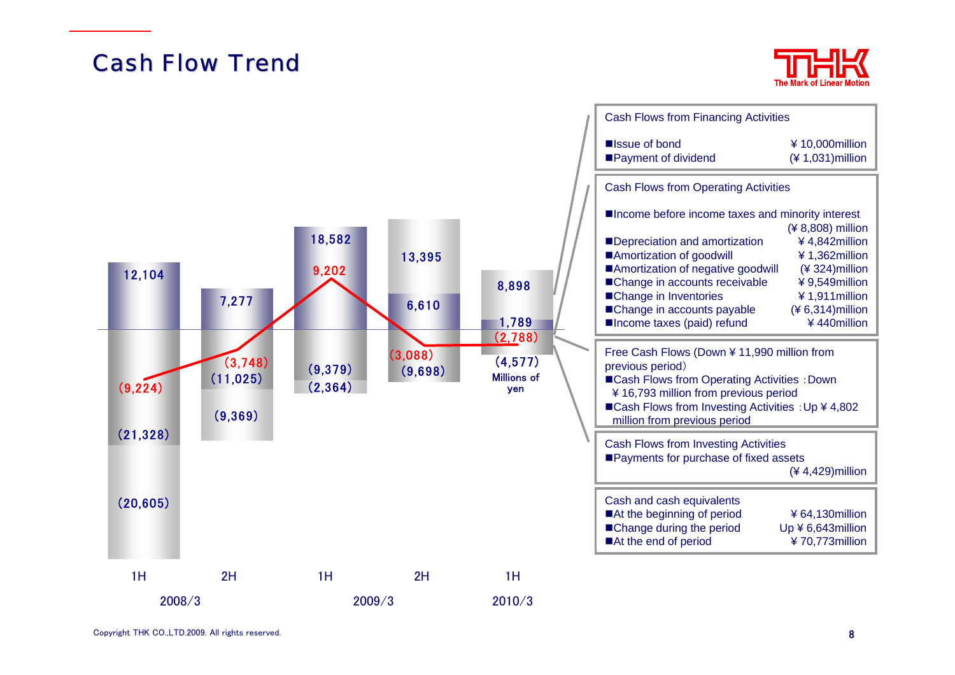# **Cash Flow Trend**



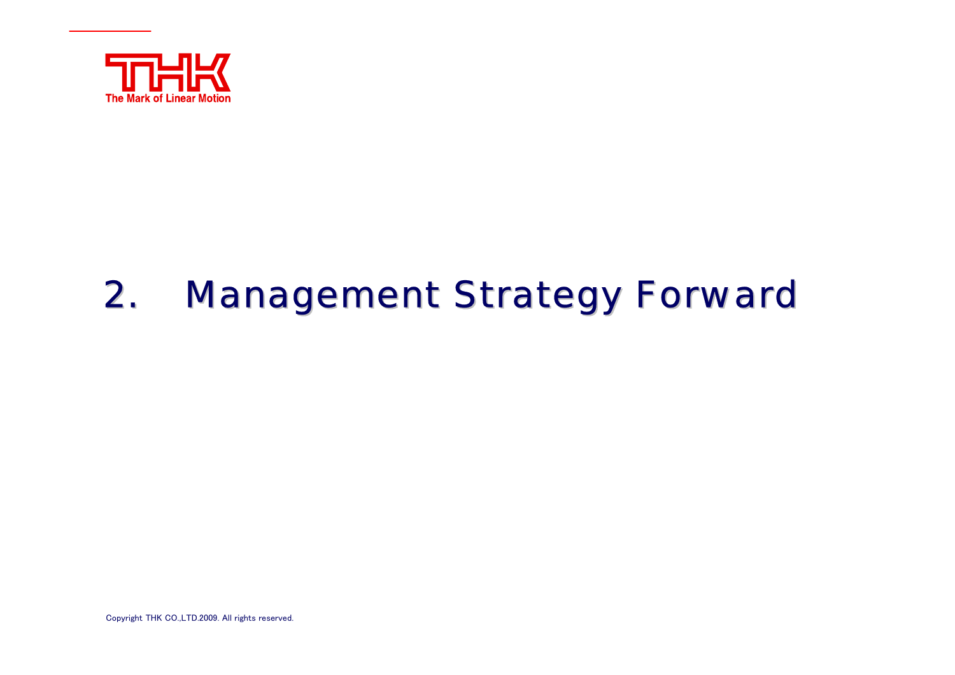

### 2.**Management Strategy Forward**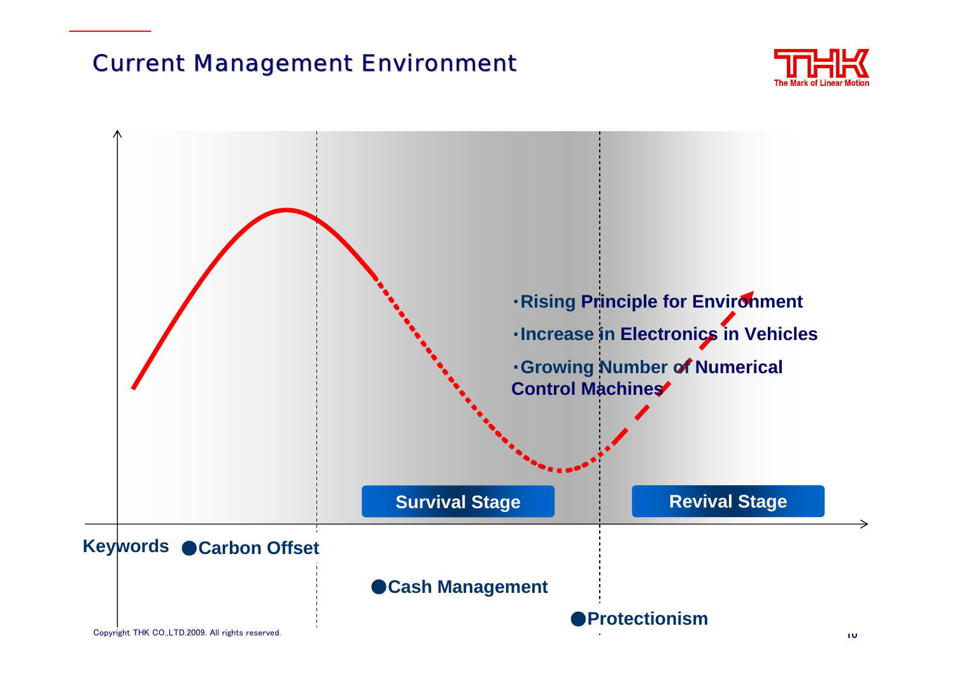# **Current Management Environment**



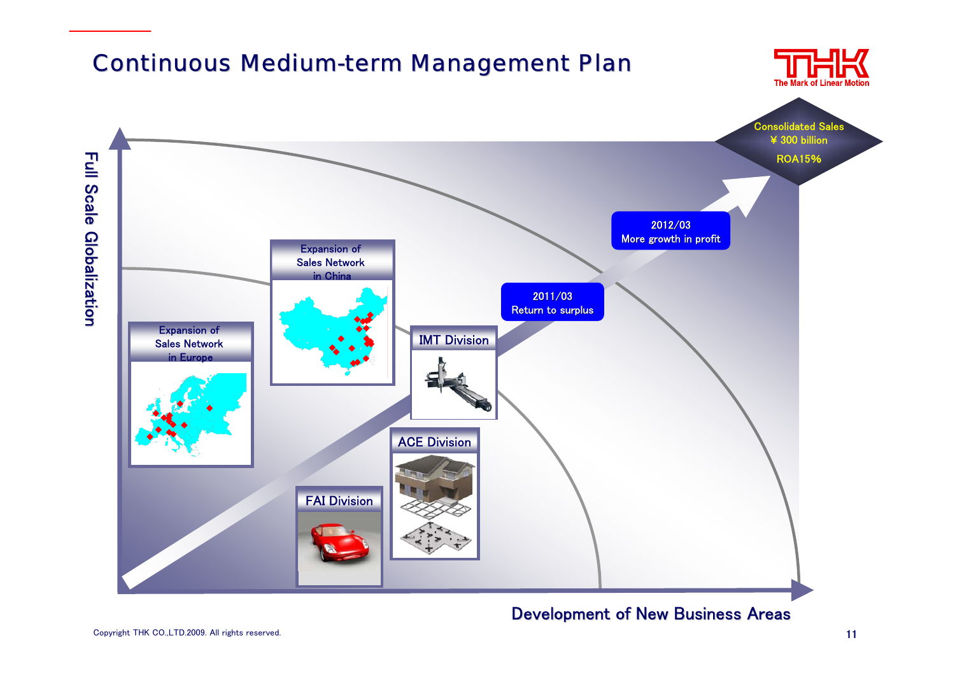

### Development of New Business Areas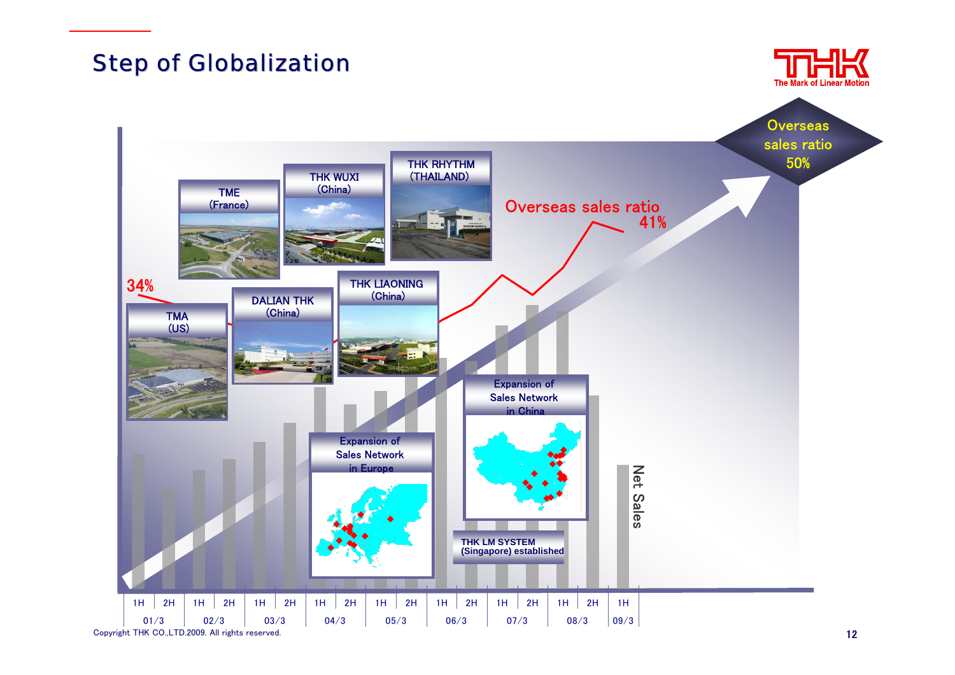# **Step of Globalization**



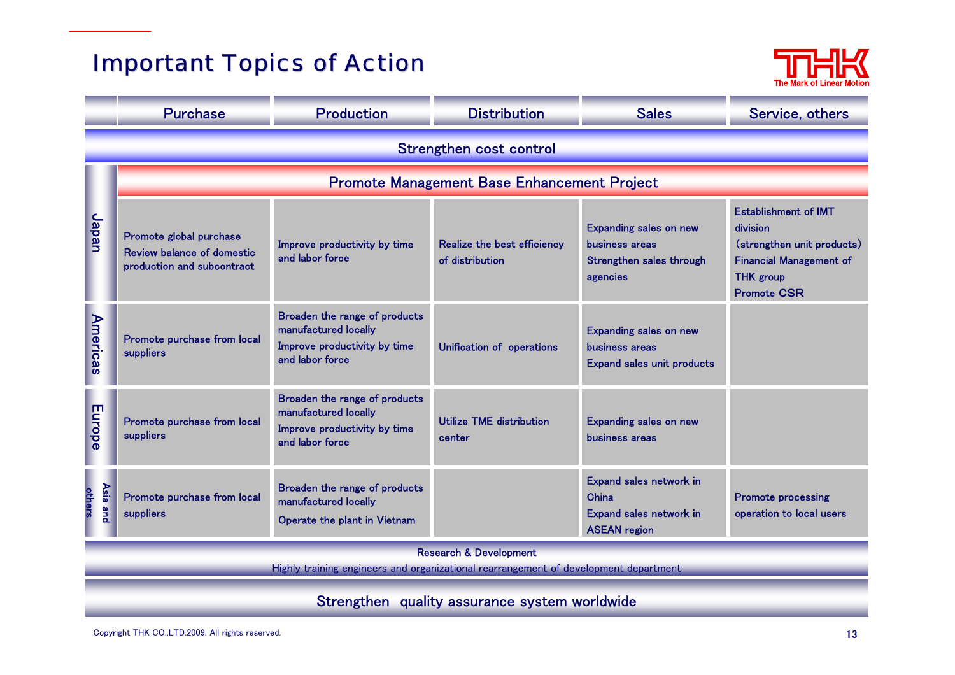# **Important Topics of Action**



|                                                                                                                           | <b>Purchase</b>                                                                            | <b>Production</b>                                                                                        | <b>Distribution</b><br><b>Sales</b>            |                                                                                         | Service, others                                                                                                                                   |  |  |  |
|---------------------------------------------------------------------------------------------------------------------------|--------------------------------------------------------------------------------------------|----------------------------------------------------------------------------------------------------------|------------------------------------------------|-----------------------------------------------------------------------------------------|---------------------------------------------------------------------------------------------------------------------------------------------------|--|--|--|
|                                                                                                                           | Strengthen cost control                                                                    |                                                                                                          |                                                |                                                                                         |                                                                                                                                                   |  |  |  |
|                                                                                                                           |                                                                                            | <b>Promote Management Base Enhancement Project</b>                                                       |                                                |                                                                                         |                                                                                                                                                   |  |  |  |
| Japan                                                                                                                     | Promote global purchase<br><b>Review balance of domestic</b><br>production and subcontract | Improve productivity by time<br>and labor force                                                          | Realize the best efficiency<br>of distribution | <b>Expanding sales on new</b><br>business areas<br>Strengthen sales through<br>agencies | <b>Establishment of IMT</b><br>division<br>(strengthen unit products)<br><b>Financial Management of</b><br><b>THK</b> group<br><b>Promote CSR</b> |  |  |  |
| <b>Americas</b>                                                                                                           | Promote purchase from local<br>suppliers                                                   | Broaden the range of products<br>manufactured locally<br>Improve productivity by time<br>and labor force | Unification of operations                      | <b>Expanding sales on new</b><br>business areas<br><b>Expand sales unit products</b>    |                                                                                                                                                   |  |  |  |
| Europe                                                                                                                    | Promote purchase from local<br>suppliers                                                   | Broaden the range of products<br>manufactured locally<br>Improve productivity by time<br>and labor force | Utilize TME distribution<br>center             | <b>Expanding sales on new</b><br>business areas                                         |                                                                                                                                                   |  |  |  |
| others                                                                                                                    | Asia and<br>Promote purchase from local<br>suppliers                                       | Broaden the range of products<br>manufactured locally<br>Operate the plant in Vietnam                    |                                                | Expand sales network in<br>China<br>Expand sales network in<br><b>ASEAN region</b>      | <b>Promote processing</b><br>operation to local users                                                                                             |  |  |  |
| <b>Research &amp; Development</b><br>Highly training engineers and organizational rearrangement of development department |                                                                                            |                                                                                                          |                                                |                                                                                         |                                                                                                                                                   |  |  |  |
| Strengthen quality assurance system worldwide                                                                             |                                                                                            |                                                                                                          |                                                |                                                                                         |                                                                                                                                                   |  |  |  |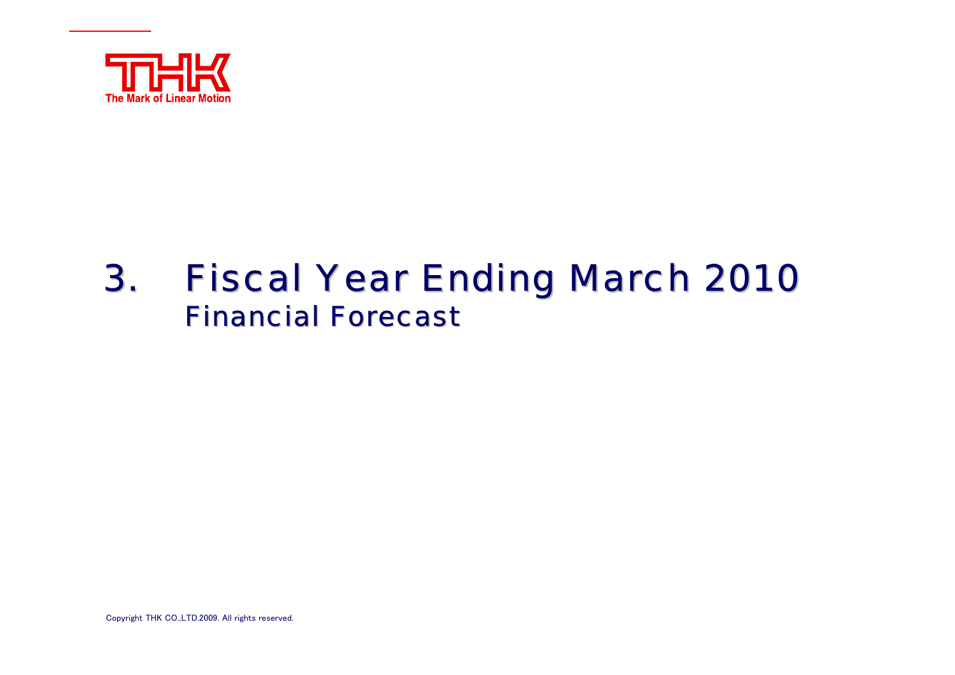

# 3. Fiscal Year Ending March 2010 **Financial Forecast**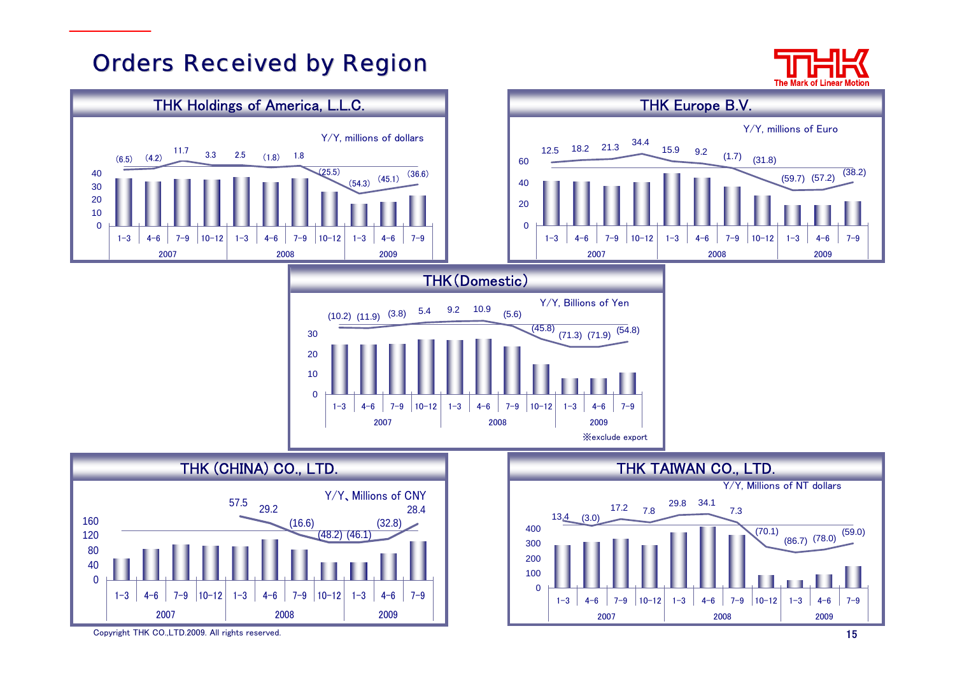# **Orders Received by Region**



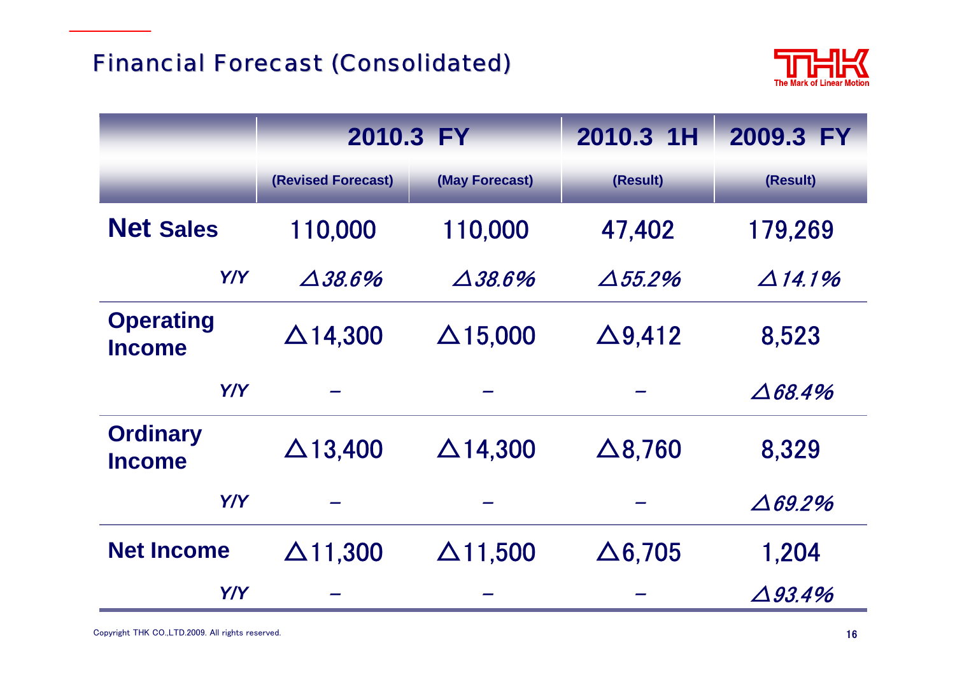

|                                   | 2010.3 FY          |                 | 2010.3 1H       | 2009.3 FY          |
|-----------------------------------|--------------------|-----------------|-----------------|--------------------|
|                                   | (Revised Forecast) | (May Forecast)  | (Result)        | (Result)           |
| <b>Net Sales</b>                  | 110,000            | 110,000         | 47,402          | 179,269            |
| Y/Y                               | $\Delta 38.6\%$    | $\Delta 38.6\%$ | $\Delta 55.2\%$ | $\Delta$ 14.1%     |
| <b>Operating</b><br><b>Income</b> | $\Delta$ 14,300    | $\Delta$ 15,000 | $\Delta$ 9,412  | 8,523              |
| Y/Y                               |                    |                 |                 | $\triangle 68.4\%$ |
| <b>Ordinary</b><br><b>Income</b>  | $\Delta$ 13,400    | $\Delta$ 14,300 | $\Delta$ 8,760  | 8,329              |
| Y/Y                               |                    |                 |                 | $\Delta 69.2\%$    |
| <b>Net Income</b>                 | $\Delta$ 11,300    | $\Delta$ 11,500 | $\Delta$ 6,705  | 1,204              |
| Y/Y                               |                    |                 |                 | $\Delta$ 93.4%     |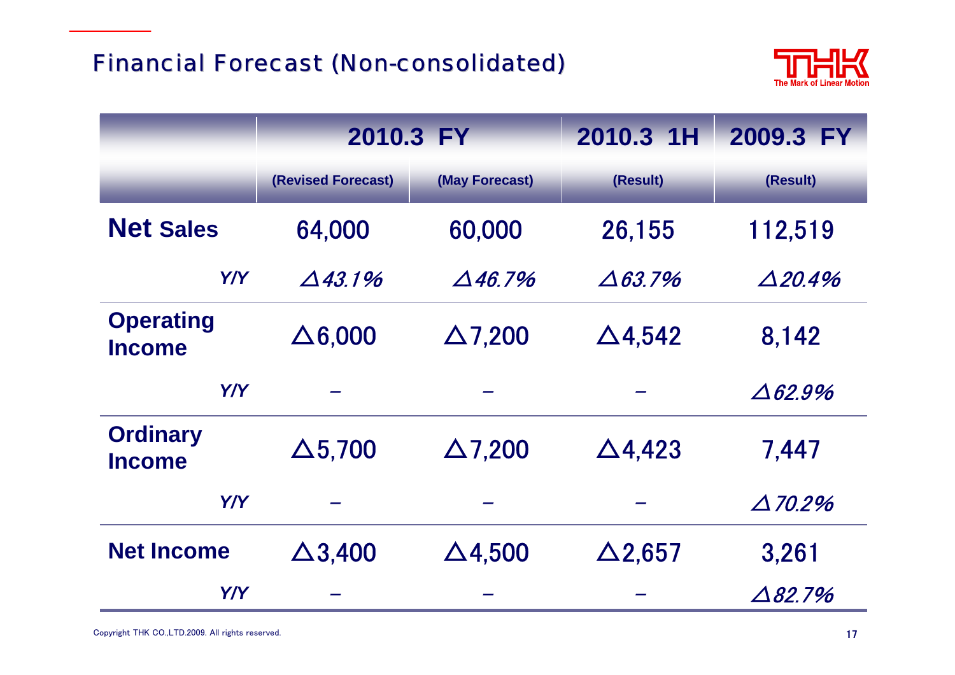

|                                   | 2010.3 FY          |                   | 2010.3 1H         | 2009.3 FY          |
|-----------------------------------|--------------------|-------------------|-------------------|--------------------|
|                                   | (Revised Forecast) | (May Forecast)    | (Result)          | (Result)           |
| <b>Net Sales</b>                  | 64,000             | 60,000            | 26,155            | 112,519            |
| Y/Y                               | $\triangle$ 43.1%  | $\triangle$ 46.7% | $\triangle 63.7%$ | $\triangle$ 20.4%  |
| <b>Operating</b><br><b>Income</b> | $\Delta 6,000$     | $\Delta$ 7,200    | $\Delta$ 4,542    | 8,142              |
| <b>Y/Y</b>                        |                    |                   |                   | $\triangle 62.9\%$ |
| <b>Ordinary</b><br><b>Income</b>  | $\Delta$ 5,700     | $\Delta$ 7,200    | $\Delta$ 4,423    | 7,447              |
| Y/Y                               |                    |                   |                   | $\Delta$ 70.2%     |
| <b>Net Income</b>                 | $\Delta$ 3,400     | $\Delta$ 4,500    | $\Delta$ 2,657    | 3,261              |
| Y/Y                               |                    |                   |                   | $\Delta$ 82,7%     |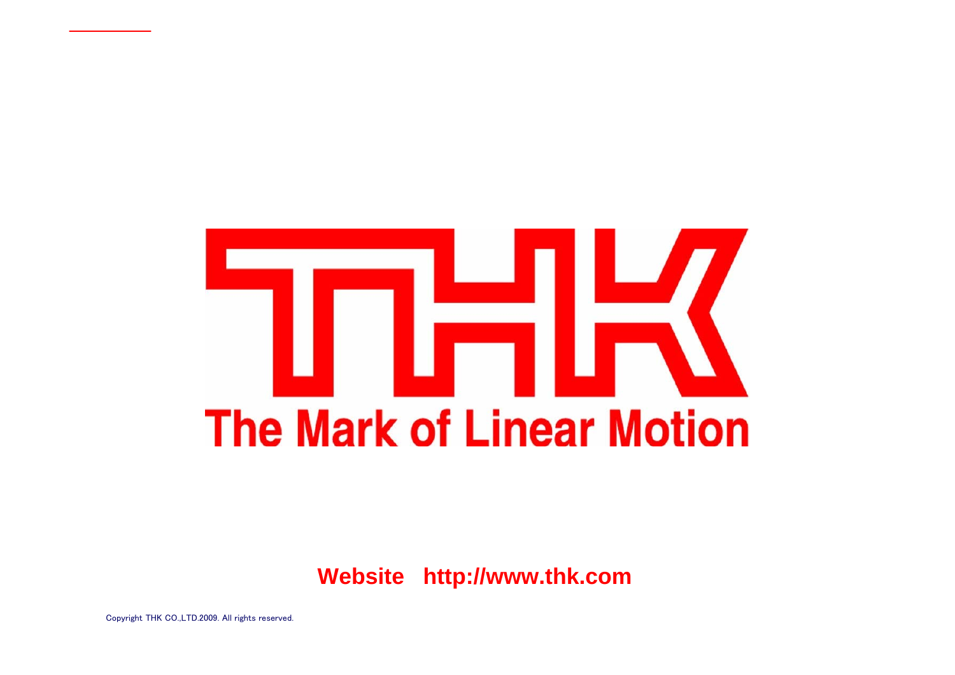# **The Mark of Linear Motion**

**Website http://www.thk.com**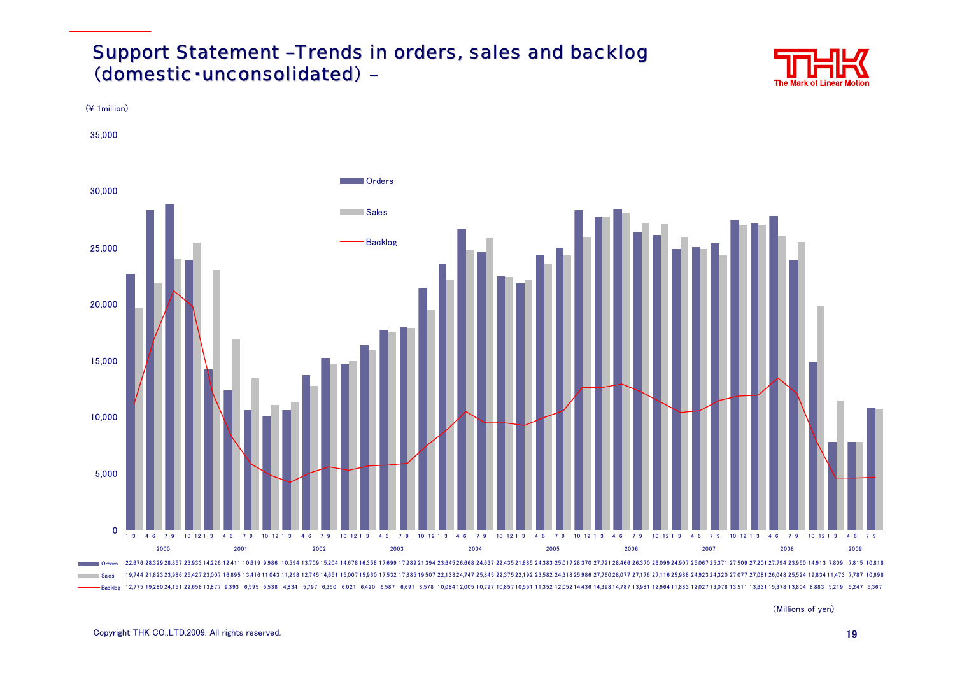### Support Statement -Trends in orders, sales and backlog (domestic·unconsolidated) -





(Millions of yen)